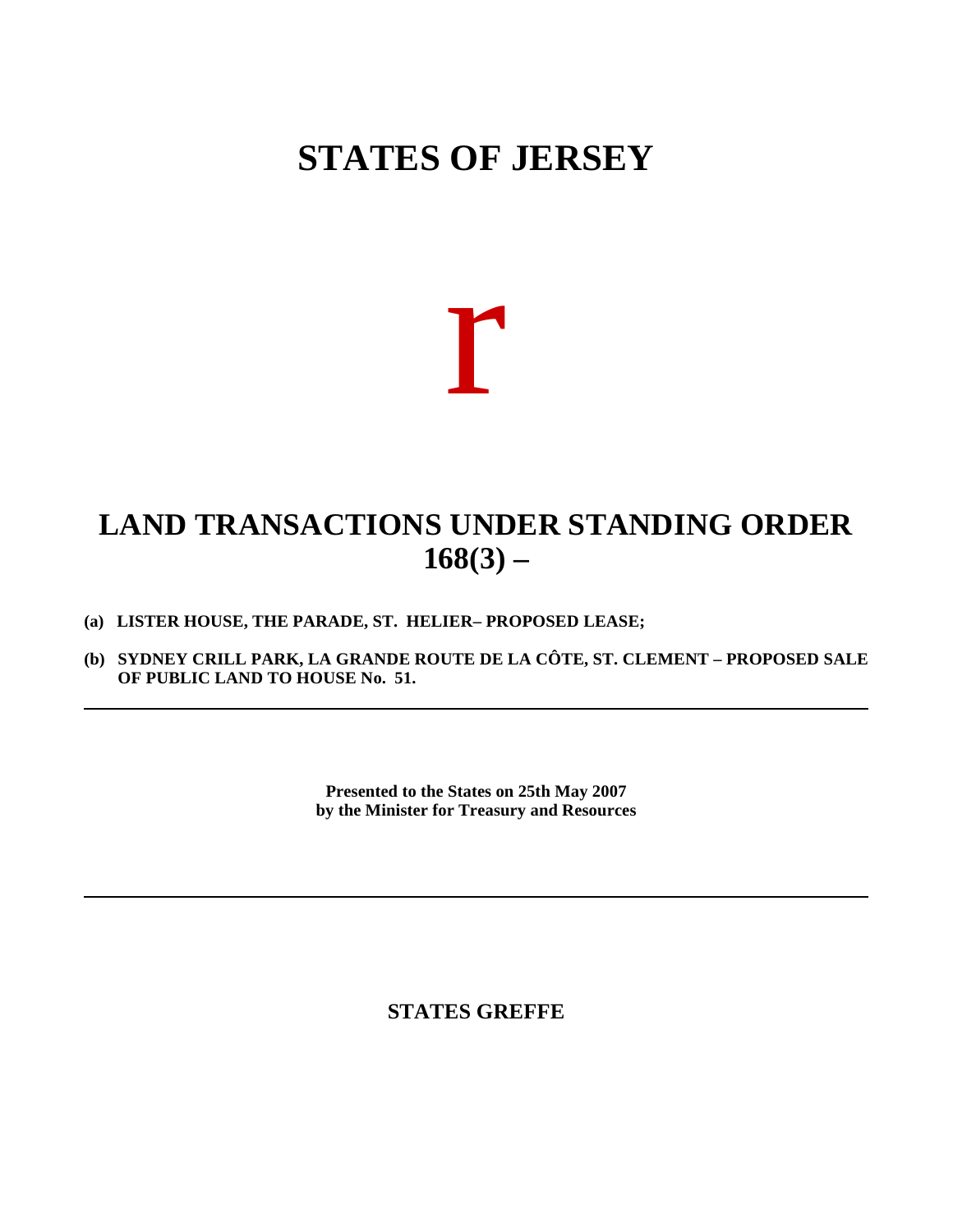# **STATES OF JERSEY**



# **LAND TRANSACTIONS UNDER STANDING ORDER 168(3) –**

- **(a) LISTER HOUSE, THE PARADE, ST. HELIER – PROPOSED LEASE;**
- **(b) SYDNEY CRILL PARK, LA GRANDE ROUTE DE LA CÔTE, ST. CLEMENT – PROPOSED SALE OF PUBLIC LAND TO HOUSE No. 51.**

**Presented to the States on 25th May 2007 by the Minister for Treasury and Resources**

**STATES GREFFE**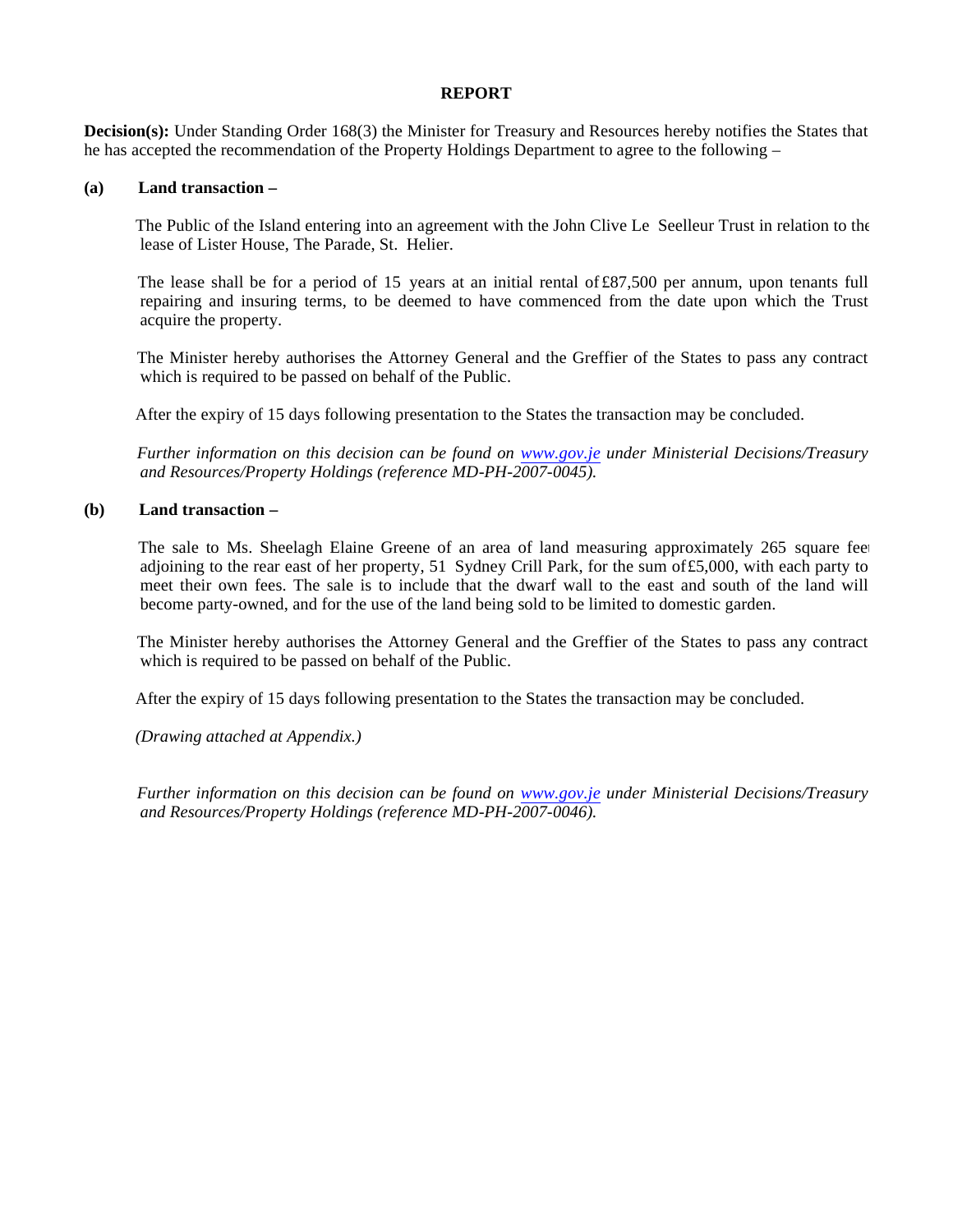#### **REPORT**

**Decision(s):** Under Standing Order 168(3) the Minister for Treasury and Resources hereby notifies the States that he has accepted the recommendation of the Property Holdings Department to agree to the following –

### **(a) Land transaction –**

 The Public of the Island entering into an agreement with the John Clive Le Seelleur Trust in relation to the lease of Lister House, The Parade, St. Helier.

 The lease shall be for a period of 15 years at an initial rental of £87,500 per annum, upon tenants full repairing and insuring terms, to be deemed to have commenced from the date upon which the Trust acquire the property.

 The Minister hereby authorises the Attorney General and the Greffier of the States to pass any contract which is required to be passed on behalf of the Public.

After the expiry of 15 days following presentation to the States the transaction may be concluded.

 *Further information on this decision can be found on <www.gov.je>under Ministerial Decisions/Treasury and Resources/Property Holdings (reference MD-PH-2007-0045).*

## **(b) Land transaction –**

The sale to Ms. Sheelagh Elaine Greene of an area of land measuring approximately 265 square fee adjoining to the rear east of her property, 51 Sydney Crill Park, for the sum of£5,000, with each party to meet their own fees. The sale is to include that the dwarf wall to the east and south of the land will become party-owned, and for the use of the land being sold to be limited to domestic garden.

 The Minister hereby authorises the Attorney General and the Greffier of the States to pass any contract which is required to be passed on behalf of the Public.

After the expiry of 15 days following presentation to the States the transaction may be concluded.

 *(Drawing attached at Appendix.)*

 *Further information on this decision can be found on <www.gov.je>under Ministerial Decisions/Treasury and Resources/Property Holdings (reference MD-PH-2007-0046).*